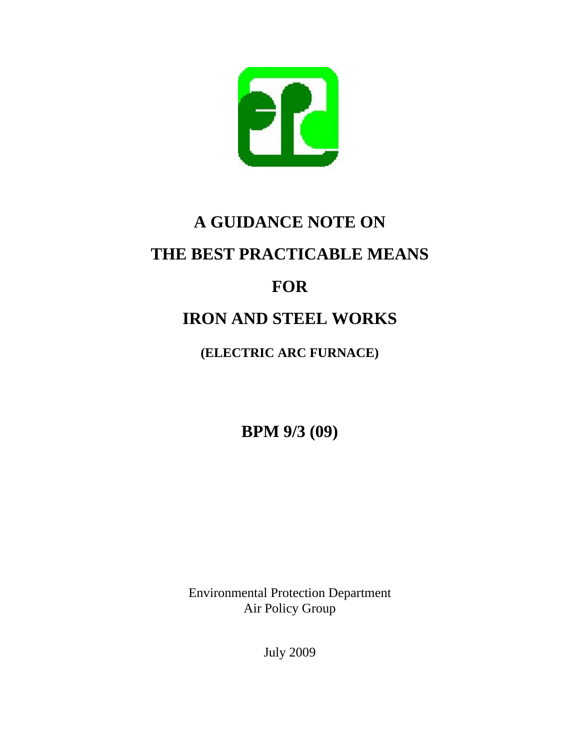

# **A GUIDANCE NOTE ON THE BEST PRACTICABLE MEANS FOR**

## **IRON AND STEEL WORKS**

### **(ELECTRIC ARC FURNACE)**

**BPM 9/3 (09)**

Environmental Protection Department Air Policy Group

July 2009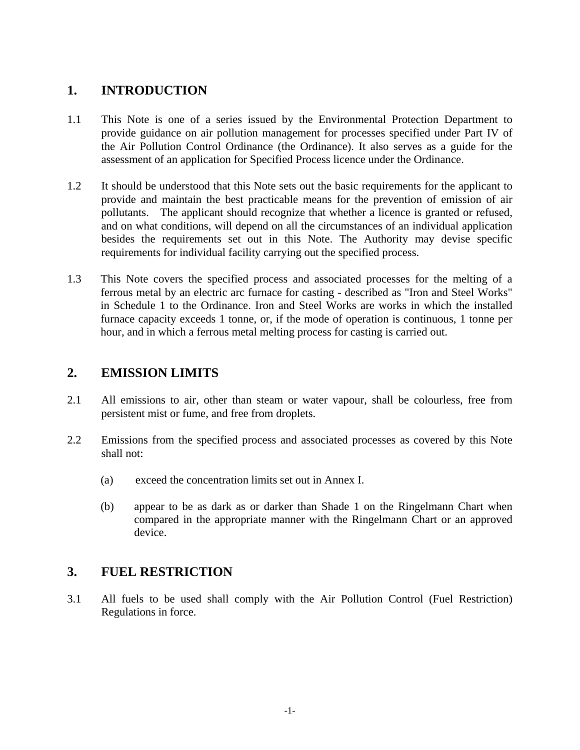#### **1. INTRODUCTION**

- 1.1 This Note is one of a series issued by the Environmental Protection Department to provide guidance on air pollution management for processes specified under Part IV of the Air Pollution Control Ordinance (the Ordinance). It also serves as a guide for the assessment of an application for Specified Process licence under the Ordinance.
- 1.2 It should be understood that this Note sets out the basic requirements for the applicant to provide and maintain the best practicable means for the prevention of emission of air pollutants. The applicant should recognize that whether a licence is granted or refused, and on what conditions, will depend on all the circumstances of an individual application besides the requirements set out in this Note. The Authority may devise specific requirements for individual facility carrying out the specified process.
- 1.3 This Note covers the specified process and associated processes for the melting of a ferrous metal by an electric arc furnace for casting - described as "Iron and Steel Works" in Schedule 1 to the Ordinance. Iron and Steel Works are works in which the installed furnace capacity exceeds 1 tonne, or, if the mode of operation is continuous, 1 tonne per hour, and in which a ferrous metal melting process for casting is carried out.

#### **2. EMISSION LIMITS**

- 2.1 All emissions to air, other than steam or water vapour, shall be colourless, free from persistent mist or fume, and free from droplets.
- 2.2 Emissions from the specified process and associated processes as covered by this Note shall not:
	- (a) exceed the concentration limits set out in Annex I.
	- (b) appear to be as dark as or darker than Shade 1 on the Ringelmann Chart when compared in the appropriate manner with the Ringelmann Chart or an approved device.

#### **3. FUEL RESTRICTION**

3.1 All fuels to be used shall comply with the Air Pollution Control (Fuel Restriction) Regulations in force.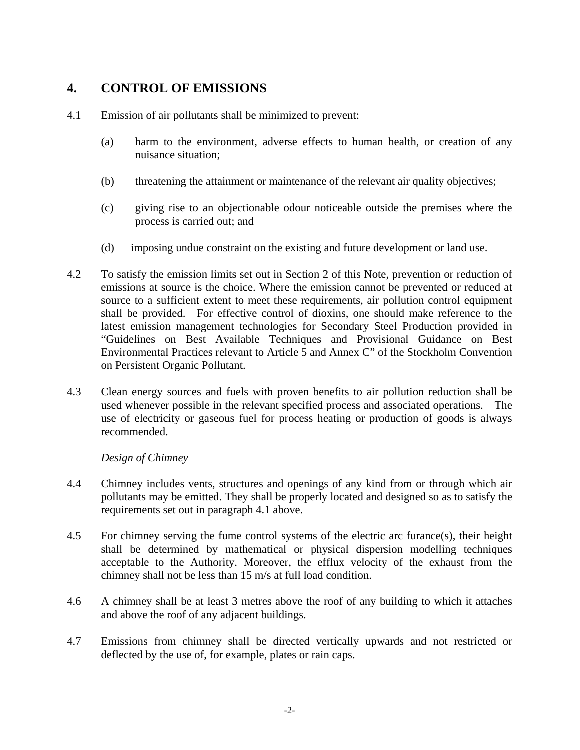#### **4. CONTROL OF EMISSIONS**

- 4.1 Emission of air pollutants shall be minimized to prevent:
	- (a) harm to the environment, adverse effects to human health, or creation of any nuisance situation;
	- (b) threatening the attainment or maintenance of the relevant air quality objectives;
	- (c) giving rise to an objectionable odour noticeable outside the premises where the process is carried out; and
	- (d) imposing undue constraint on the existing and future development or land use.
- 4.2 To satisfy the emission limits set out in Section 2 of this Note, prevention or reduction of emissions at source is the choice. Where the emission cannot be prevented or reduced at source to a sufficient extent to meet these requirements, air pollution control equipment shall be provided. For effective control of dioxins, one should make reference to the latest emission management technologies for Secondary Steel Production provided in "Guidelines on Best Available Techniques and Provisional Guidance on Best Environmental Practices relevant to Article 5 and Annex C" of the Stockholm Convention on Persistent Organic Pollutant.
- 4.3 Clean energy sources and fuels with proven benefits to air pollution reduction shall be used whenever possible in the relevant specified process and associated operations. The use of electricity or gaseous fuel for process heating or production of goods is always recommended.

#### *Design of Chimney*

- 4.4 Chimney includes vents, structures and openings of any kind from or through which air pollutants may be emitted. They shall be properly located and designed so as to satisfy the requirements set out in paragraph 4.1 above.
- 4.5 For chimney serving the fume control systems of the electric arc furance(s), their height shall be determined by mathematical or physical dispersion modelling techniques acceptable to the Authority. Moreover, the efflux velocity of the exhaust from the chimney shall not be less than 15 m/s at full load condition.
- 4.6 A chimney shall be at least 3 metres above the roof of any building to which it attaches and above the roof of any adjacent buildings.
- 4.7 Emissions from chimney shall be directed vertically upwards and not restricted or deflected by the use of, for example, plates or rain caps.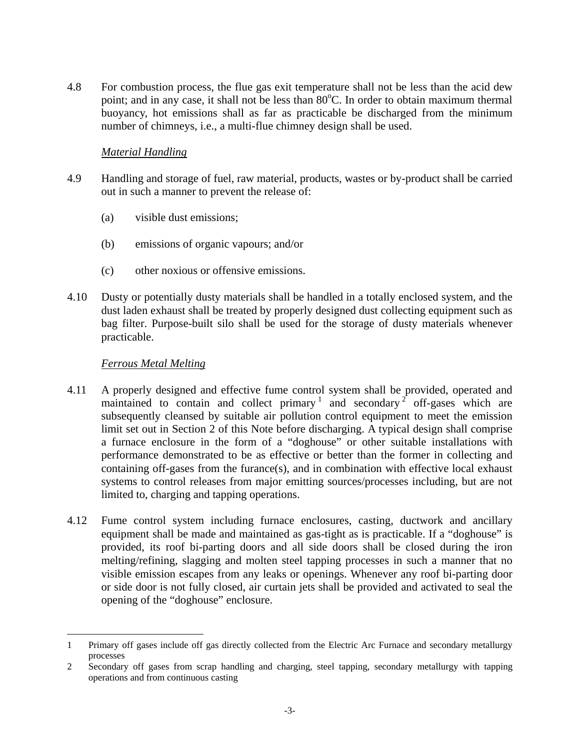4.8 For combustion process, the flue gas exit temperature shall not be less than the acid dew point; and in any case, it shall not be less than 80°C. In order to obtain maximum thermal buoyancy, hot emissions shall as far as practicable be discharged from the minimum number of chimneys, i.e., a multi-flue chimney design shall be used.

#### *Material Handling*

- 4.9 Handling and storage of fuel, raw material, products, wastes or by-product shall be carried out in such a manner to prevent the release of:
	- (a) visible dust emissions;
	- (b) emissions of organic vapours; and/or
	- (c) other noxious or offensive emissions.
- 4.10 Dusty or potentially dusty materials shall be handled in a totally enclosed system, and the dust laden exhaust shall be treated by properly designed dust collecting equipment such as bag filter. Purpose-built silo shall be used for the storage of dusty materials whenever practicable.

#### *Ferrous Metal Melting*

- 4.11 A properly designed and effective fume control system shall be provided, operated and maintained to contain and collect  $\text{primary}^1$  and secondary<sup>2</sup> off-gases which are subsequently cleansed by suitable air pollution control equipment to meet the emission limit set out in Section 2 of this Note before discharging. A typical design shall comprise a furnace enclosure in the form of a "doghouse" or other suitable installations with performance demonstrated to be as effective or better than the former in collecting and containing off-gases from the furance(s), and in combination with effective local exhaust systems to control releases from major emitting sources/processes including, but are not limited to, charging and tapping operations.
- 4.12 Fume control system including furnace enclosures, casting, ductwork and ancillary equipment shall be made and maintained as gas-tight as is practicable. If a "doghouse" is provided, its roof bi-parting doors and all side doors shall be closed during the iron melting/refining, slagging and molten steel tapping processes in such a manner that no visible emission escapes from any leaks or openings. Whenever any roof bi-parting door or side door is not fully closed, air curtain jets shall be provided and activated to seal the opening of the "doghouse" enclosure.

 $\overline{a}$ 1 Primary off gases include off gas directly collected from the Electric Arc Furnace and secondary metallurgy processes

<sup>2</sup> Secondary off gases from scrap handling and charging, steel tapping, secondary metallurgy with tapping operations and from continuous casting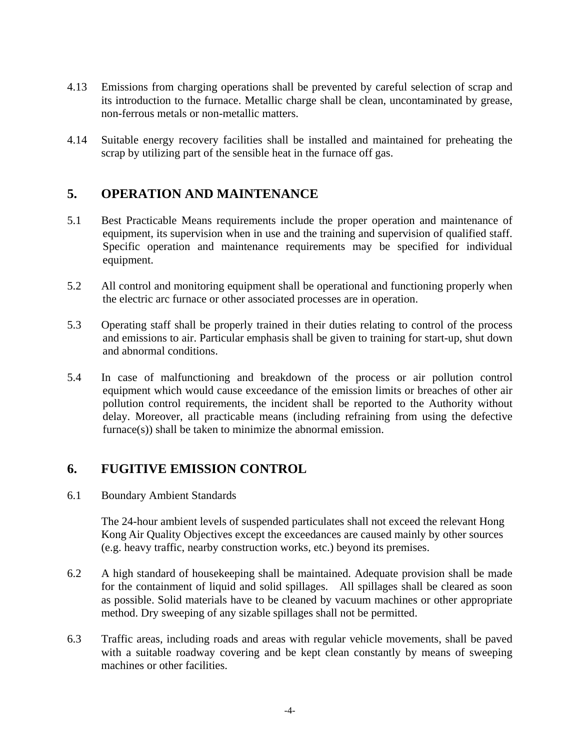- 4.13 Emissions from charging operations shall be prevented by careful selection of scrap and its introduction to the furnace. Metallic charge shall be clean, uncontaminated by grease, non-ferrous metals or non-metallic matters.
- 4.14 Suitable energy recovery facilities shall be installed and maintained for preheating the scrap by utilizing part of the sensible heat in the furnace off gas.

#### **5. OPERATION AND MAINTENANCE**

- 5.1 Best Practicable Means requirements include the proper operation and maintenance of equipment, its supervision when in use and the training and supervision of qualified staff. Specific operation and maintenance requirements may be specified for individual equipment.
- 5.2 All control and monitoring equipment shall be operational and functioning properly when the electric arc furnace or other associated processes are in operation.
- 5.3 Operating staff shall be properly trained in their duties relating to control of the process and emissions to air. Particular emphasis shall be given to training for start-up, shut down and abnormal conditions.
- 5.4 In case of malfunctioning and breakdown of the process or air pollution control equipment which would cause exceedance of the emission limits or breaches of other air pollution control requirements, the incident shall be reported to the Authority without delay. Moreover, all practicable means (including refraining from using the defective furnace(s)) shall be taken to minimize the abnormal emission.

#### **6. FUGITIVE EMISSION CONTROL**

6.1 Boundary Ambient Standards

The 24-hour ambient levels of suspended particulates shall not exceed the relevant Hong Kong Air Quality Objectives except the exceedances are caused mainly by other sources (e.g. heavy traffic, nearby construction works, etc.) beyond its premises.

- for the containment of liquid and solid spillages. All spillages shall be cleared as soon 6.2 A high standard of housekeeping shall be maintained. Adequate provision shall be made as possible. Solid materials have to be cleaned by vacuum machines or other appropriate method. Dry sweeping of any sizable spillages shall not be permitted.
- 6.3 Traffic areas, including roads and areas with regular vehicle movements, shall be paved with a suitable roadway covering and be kept clean constantly by means of sweeping machines or other facilities.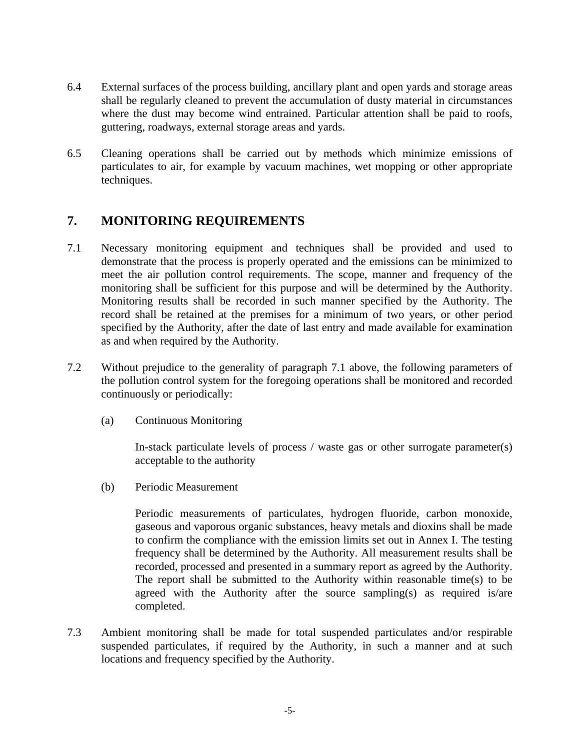- 6.4 External surfaces of the process building, ancillary plant and open yards and storage areas shall be regularly cleaned to prevent the accumulation of dusty material in circumstances where the dust may become wind entrained. Particular attention shall be paid to roofs, guttering, roadways, external storage areas and yards.
- 6.5 Cleaning operations shall be carried out by methods which minimize emissions of particulates to air, for example by vacuum machines, wet mopping or other appropriate techniques.

#### **7. MONITORING REQUIREMENTS**

- 7.1 Necessary monitoring equipment and techniques shall be provided and used to demonstrate that the process is properly operated and the emissions can be minimized to meet the air pollution control requirements. The scope, manner and frequency of the monitoring shall be sufficient for this purpose and will be determined by the Authority. Monitoring results shall be recorded in such manner specified by the Authority. The record shall be retained at the premises for a minimum of two years, or other period specified by the Authority, after the date of last entry and made available for examination as and when required by the Authority.
- 7.2 Without prejudice to the generality of paragraph 7.1 above, the following parameters of the pollution control system for the foregoing operations shall be monitored and recorded continuously or periodically:
	- (a) Continuous Monitoring

In-stack particulate levels of process / waste gas or other surrogate parameter(s) acceptable to the authority

(b) Periodic Measurement

Periodic measurements of particulates, hydrogen fluoride, carbon monoxide, gaseous and vaporous organic substances, heavy metals and dioxins shall be made to confirm the compliance with the emission limits set out in Annex I. The testing frequency shall be determined by the Authority. All measurement results shall be recorded, processed and presented in a summary report as agreed by the Authority. The report shall be submitted to the Authority within reasonable time(s) to be agreed with the Authority after the source sampling(s) as required is/are completed.

7.3 Ambient monitoring shall be made for total suspended particulates and/or respirable suspended particulates, if required by the Authority, in such a manner and at such locations and frequency specified by the Authority.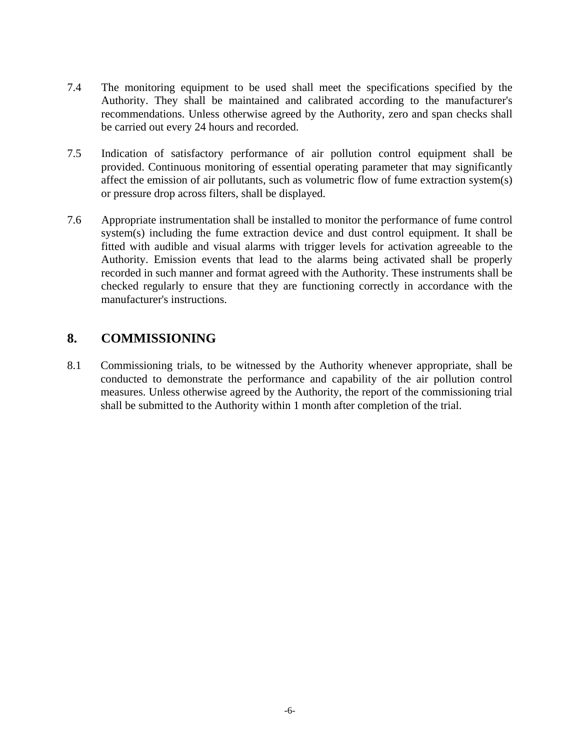- 7.4 The monitoring equipment to be used shall meet the specifications specified by the Authority. They shall be maintained and calibrated according to the manufacturer's recommendations. Unless otherwise agreed by the Authority, zero and span checks shall be carried out every 24 hours and recorded.
- 7.5 Indication of satisfactory performance of air pollution control equipment shall be provided. Continuous monitoring of essential operating parameter that may significantly affect the emission of air pollutants, such as volumetric flow of fume extraction system(s) or pressure drop across filters, shall be displayed.
- 7.6 Appropriate instrumentation shall be installed to monitor the performance of fume control system(s) including the fume extraction device and dust control equipment. It shall be fitted with audible and visual alarms with trigger levels for activation agreeable to the Authority. Emission events that lead to the alarms being activated shall be properly recorded in such manner and format agreed with the Authority. These instruments shall be checked regularly to ensure that they are functioning correctly in accordance with the manufacturer's instructions.

#### **8. COMMISSIONING**

8.1 Commissioning trials, to be witnessed by the Authority whenever appropriate, shall be conducted to demonstrate the performance and capability of the air pollution control measures. Unless otherwise agreed by the Authority, the report of the commissioning trial shall be submitted to the Authority within 1 month after completion of the trial.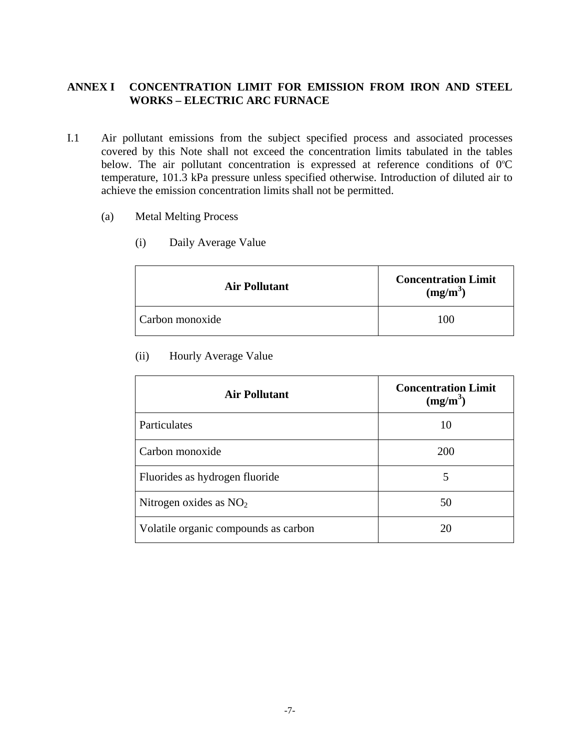#### **ANNEX I CONCENTRATION LIMIT FOR EMISSION FROM IRON AND STEEL WORKS – ELECTRIC ARC FURNACE**

- I.1 Air pollutant emissions from the subject specified process and associated processes covered by this Note shall not exceed the concentration limits tabulated in the tables below. The air pollutant concentration is expressed at reference conditions of  $0^{\circ}C$ temperature, 101.3 kPa pressure unless specified otherwise. Introduction of diluted air to achieve the emission concentration limits shall not be permitted.
	- (a) Metal Melting Process
		- (i) Daily Average Value

| <b>Air Pollutant</b> | <b>Concentration Limit</b><br>(mg/m <sup>3</sup> ) |  |
|----------------------|----------------------------------------------------|--|
| Carbon monoxide      | 100                                                |  |

(ii) Hourly Average Value

| <b>Air Pollutant</b>                 | <b>Concentration Limit</b><br>$(mg/m^3)$ |  |
|--------------------------------------|------------------------------------------|--|
| Particulates                         | 10                                       |  |
| Carbon monoxide                      | <b>200</b>                               |  |
| Fluorides as hydrogen fluoride       | 5                                        |  |
| Nitrogen oxides as $NO2$             | 50                                       |  |
| Volatile organic compounds as carbon | 20                                       |  |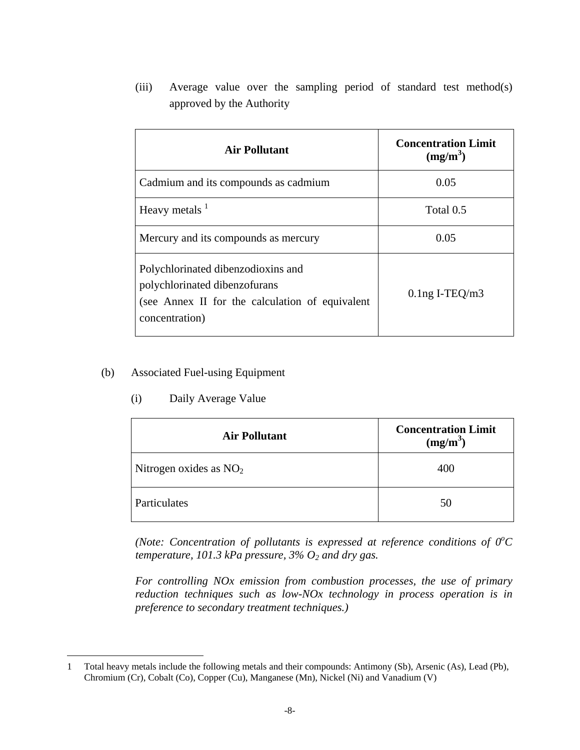(iii) Average value over the sampling period of standard test method(s) approved by the Authority

| <b>Air Pollutant</b>                                                                                                                     | <b>Concentration Limit</b><br>$(mg/m^3)$ |  |
|------------------------------------------------------------------------------------------------------------------------------------------|------------------------------------------|--|
| Cadmium and its compounds as cadmium                                                                                                     | 0.05                                     |  |
| Heavy metals $1$                                                                                                                         | Total 0.5                                |  |
| Mercury and its compounds as mercury                                                                                                     | 0.05                                     |  |
| Polychlorinated dibenzodioxins and<br>polychlorinated dibenzofurans<br>(see Annex II for the calculation of equivalent<br>concentration) | $0.1$ ng I-TEQ/m3                        |  |

#### (b) Associated Fuel-using Equipment

 $\overline{a}$ 

(i) Daily Average Value

| <b>Air Pollutant</b>     | <b>Concentration Limit</b><br>$(mg/m^3)$ |  |
|--------------------------|------------------------------------------|--|
| Nitrogen oxides as $NO2$ | 400                                      |  |
| Particulates             | 50                                       |  |

*(Note: Concentration of pollutants is expressed at reference conditions of*  $0^{\circ}C$ *temperature, 101.3 kPa pressure, 3% O2 and dry gas.* 

*For controlling NOx emission from combustion processes, the use of primary reduction techniques such as low-NOx technology in process operation is in preference to secondary treatment techniques.)* 

<sup>1</sup> Total heavy metals include the following metals and their compounds: Antimony (Sb), Arsenic (As), Lead (Pb), Chromium (Cr), Cobalt (Co), Copper (Cu), Manganese (Mn), Nickel (Ni) and Vanadium (V)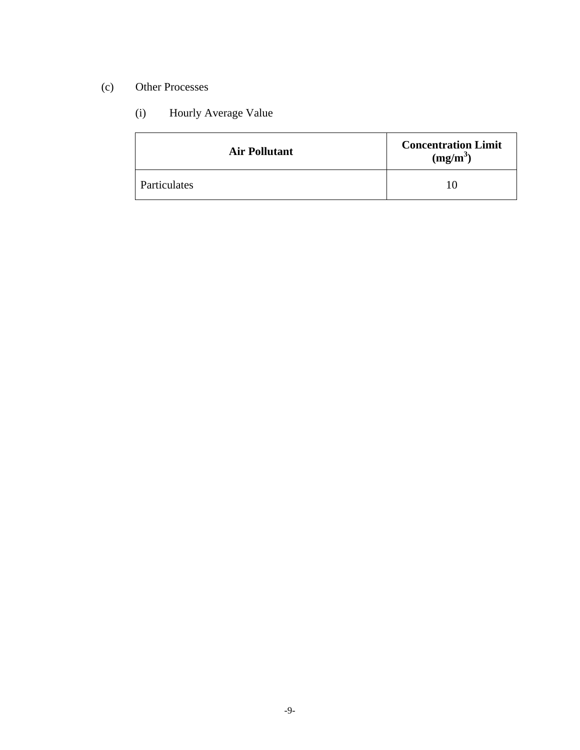#### (c) Other Processes

#### (i) Hourly Average Value

| <b>Air Pollutant</b> | <b>Concentration Limit</b><br>$(mg/m^3)$ |
|----------------------|------------------------------------------|
| Particulates         |                                          |